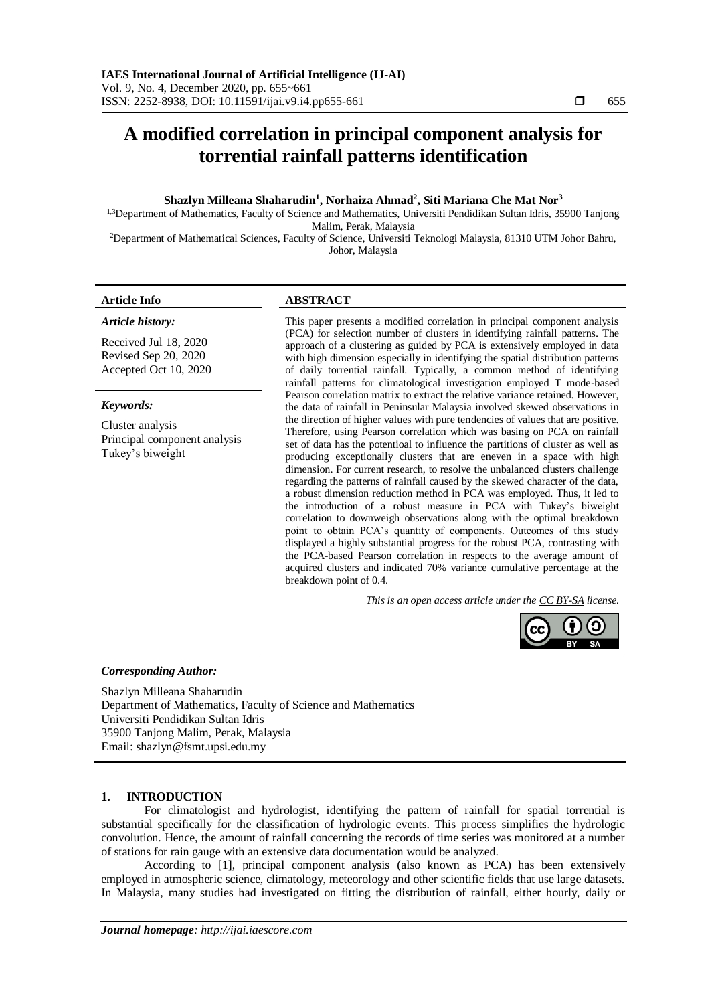# **A modified correlation in principal component analysis for torrential rainfall patterns identification**

# **Shazlyn Milleana Shaharudin<sup>1</sup> , Norhaiza Ahmad<sup>2</sup> , Siti Mariana Che Mat Nor<sup>3</sup>**

<sup>1,3</sup>Department of Mathematics, Faculty of Science and Mathematics, Universiti Pendidikan Sultan Idris, 35900 Tanjong Malim, Perak, Malaysia

<sup>2</sup>Department of Mathematical Sciences, Faculty of Science, Universiti Teknologi Malaysia, 81310 UTM Johor Bahru, Johor, Malaysia

## **Article Info ABSTRACT**

*Article history:*

Received Jul 18, 2020 Revised Sep 20, 2020 Accepted Oct 10, 2020

#### *Keywords:*

Cluster analysis Principal component analysis Tukey's biweight

This paper presents a modified correlation in principal component analysis (PCA) for selection number of clusters in identifying rainfall patterns. The approach of a clustering as guided by PCA is extensively employed in data with high dimension especially in identifying the spatial distribution patterns of daily torrential rainfall. Typically, a common method of identifying rainfall patterns for climatological investigation employed T mode-based Pearson correlation matrix to extract the relative variance retained. However, the data of rainfall in Peninsular Malaysia involved skewed observations in the direction of higher values with pure tendencies of values that are positive. Therefore, using Pearson correlation which was basing on PCA on rainfall set of data has the potentioal to influence the partitions of cluster as well as producing exceptionally clusters that are eneven in a space with high dimension. For current research, to resolve the unbalanced clusters challenge regarding the patterns of rainfall caused by the skewed character of the data, a robust dimension reduction method in PCA was employed. Thus, it led to the introduction of a robust measure in PCA with Tukey's biweight correlation to downweigh observations along with the optimal breakdown point to obtain PCA's quantity of components. Outcomes of this study displayed a highly substantial progress for the robust PCA, contrasting with the PCA-based Pearson correlation in respects to the average amount of acquired clusters and indicated 70% variance cumulative percentage at the breakdown point of 0.4.

*This is an open access article under the [CC BY-SA](https://creativecommons.org/licenses/by-sa/4.0/) license.*



# *Corresponding Author:*

Shazlyn Milleana Shaharudin Department of Mathematics, Faculty of Science and Mathematics Universiti Pendidikan Sultan Idris 35900 Tanjong Malim, Perak, Malaysia Email: shazlyn@fsmt.upsi.edu.my

# **1. INTRODUCTION**

For climatologist and hydrologist, identifying the pattern of rainfall for spatial torrential is substantial specifically for the classification of hydrologic events. This process simplifies the hydrologic convolution. Hence, the amount of rainfall concerning the records of time series was monitored at a number of stations for rain gauge with an extensive data documentation would be analyzed.

According to [1], principal component analysis (also known as PCA) has been extensively employed in atmospheric science, climatology, meteorology and other scientific fields that use large datasets. In Malaysia, many studies had investigated on fitting the distribution of rainfall, either hourly, daily or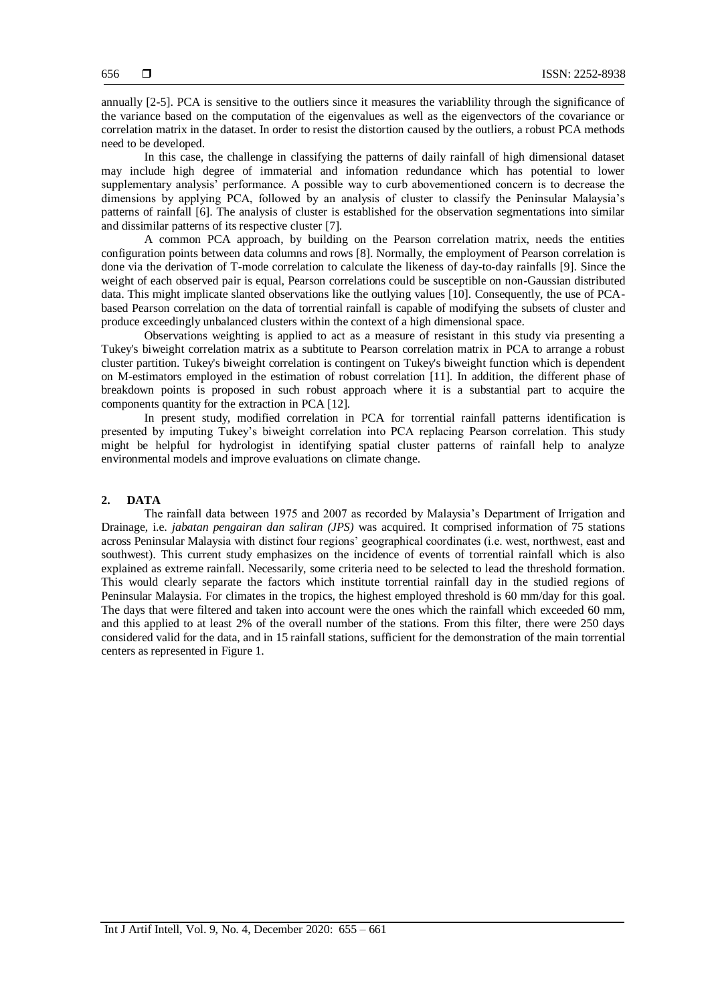annually [2-5]. PCA is sensitive to the outliers since it measures the variablility through the significance of the variance based on the computation of the eigenvalues as well as the eigenvectors of the covariance or correlation matrix in the dataset. In order to resist the distortion caused by the outliers, a robust PCA methods need to be developed.

In this case, the challenge in classifying the patterns of daily rainfall of high dimensional dataset may include high degree of immaterial and infomation redundance which has potential to lower supplementary analysis' performance. A possible way to curb abovementioned concern is to decrease the dimensions by applying PCA, followed by an analysis of cluster to classify the Peninsular Malaysia's patterns of rainfall [6]. The analysis of cluster is established for the observation segmentations into similar and dissimilar patterns of its respective cluster [7].

A common PCA approach, by building on the Pearson correlation matrix, needs the entities configuration points between data columns and rows [8]. Normally, the employment of Pearson correlation is done via the derivation of T-mode correlation to calculate the likeness of day-to-day rainfalls [9]. Since the weight of each observed pair is equal, Pearson correlations could be susceptible on non-Gaussian distributed data. This might implicate slanted observations like the outlying values [10]. Consequently, the use of PCAbased Pearson correlation on the data of torrential rainfall is capable of modifying the subsets of cluster and produce exceedingly unbalanced clusters within the context of a high dimensional space.

Observations weighting is applied to act as a measure of resistant in this study via presenting a Tukey's biweight correlation matrix as a subtitute to Pearson correlation matrix in PCA to arrange a robust cluster partition. Tukey's biweight correlation is contingent on Tukey's biweight function which is dependent on M-estimators employed in the estimation of robust correlation [11]. In addition, the different phase of breakdown points is proposed in such robust approach where it is a substantial part to acquire the components quantity for the extraction in PCA [12].

In present study, modified correlation in PCA for torrential rainfall patterns identification is presented by imputing Tukey's biweight correlation into PCA replacing Pearson correlation. This study might be helpful for hydrologist in identifying spatial cluster patterns of rainfall help to analyze environmental models and improve evaluations on climate change.

# **2. DATA**

The rainfall data between 1975 and 2007 as recorded by Malaysia's Department of Irrigation and Drainage, i.e. *jabatan pengairan dan saliran (JPS)* was acquired. It comprised information of 75 stations across Peninsular Malaysia with distinct four regions' geographical coordinates (i.e. west, northwest, east and southwest). This current study emphasizes on the incidence of events of torrential rainfall which is also explained as extreme rainfall. Necessarily, some criteria need to be selected to lead the threshold formation. This would clearly separate the factors which institute torrential rainfall day in the studied regions of Peninsular Malaysia. For climates in the tropics, the highest employed threshold is 60 mm/day for this goal. The days that were filtered and taken into account were the ones which the rainfall which exceeded 60 mm, and this applied to at least 2% of the overall number of the stations. From this filter, there were 250 days considered valid for the data, and in 15 rainfall stations, sufficient for the demonstration of the main torrential centers as represented in Figure 1.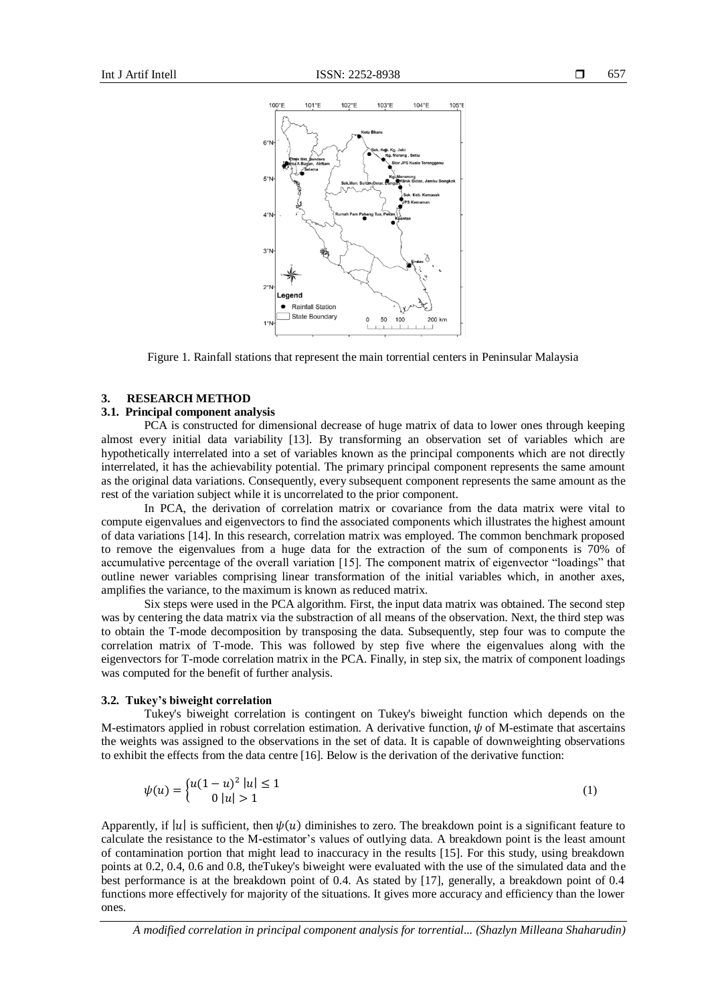

Figure 1. Rainfall stations that represent the main torrential centers in Peninsular Malaysia

# **3. RESEARCH METHOD**

# **3.1. Principal component analysis**

PCA is constructed for dimensional decrease of huge matrix of data to lower ones through keeping almost every initial data variability [13]. By transforming an observation set of variables which are hypothetically interrelated into a set of variables known as the principal components which are not directly interrelated, it has the achievability potential. The primary principal component represents the same amount as the original data variations. Consequently, every subsequent component represents the same amount as the rest of the variation subject while it is uncorrelated to the prior component.

In PCA, the derivation of correlation matrix or covariance from the data matrix were vital to compute eigenvalues and eigenvectors to find the associated components which illustrates the highest amount of data variations [14]. In this research, correlation matrix was employed. The common benchmark proposed to remove the eigenvalues from a huge data for the extraction of the sum of components is 70% of accumulative percentage of the overall variation [15]. The component matrix of eigenvector "loadings" that outline newer variables comprising linear transformation of the initial variables which, in another axes, amplifies the variance, to the maximum is known as reduced matrix.

Six steps were used in the PCA algorithm. First, the input data matrix was obtained. The second step was by centering the data matrix via the substraction of all means of the observation. Next, the third step was to obtain the T-mode decomposition by transposing the data. Subsequently, step four was to compute the correlation matrix of T-mode. This was followed by step five where the eigenvalues along with the eigenvectors for T-mode correlation matrix in the PCA. Finally, in step six, the matrix of component loadings was computed for the benefit of further analysis.

## **3.2. Tukey's biweight correlation**

Tukey's biweight correlation is contingent on Tukey's biweight function which depends on the M-estimators applied in robust correlation estimation. A derivative function,  $\psi$  of M-estimate that ascertains the weights was assigned to the observations in the set of data. It is capable of downweighting observations to exhibit the effects from the data centre [16]. Below is the derivation of the derivative function:

$$
\psi(u) = \begin{cases} u(1-u)^2 |u| \le 1 \\ 0 |u| > 1 \end{cases}
$$
\n(1)

Apparently, if  $|u|$  is sufficient, then  $\psi(u)$  diminishes to zero. The breakdown point is a significant feature to calculate the resistance to the M-estimator's values of outlying data. A breakdown point is the least amount of contamination portion that might lead to inaccuracy in the results [15]. For this study, using breakdown points at 0.2, 0.4, 0.6 and 0.8, theTukey's biweight were evaluated with the use of the simulated data and the best performance is at the breakdown point of 0.4. As stated by [17], generally, a breakdown point of 0.4 functions more effectively for majority of the situations. It gives more accuracy and efficiency than the lower ones.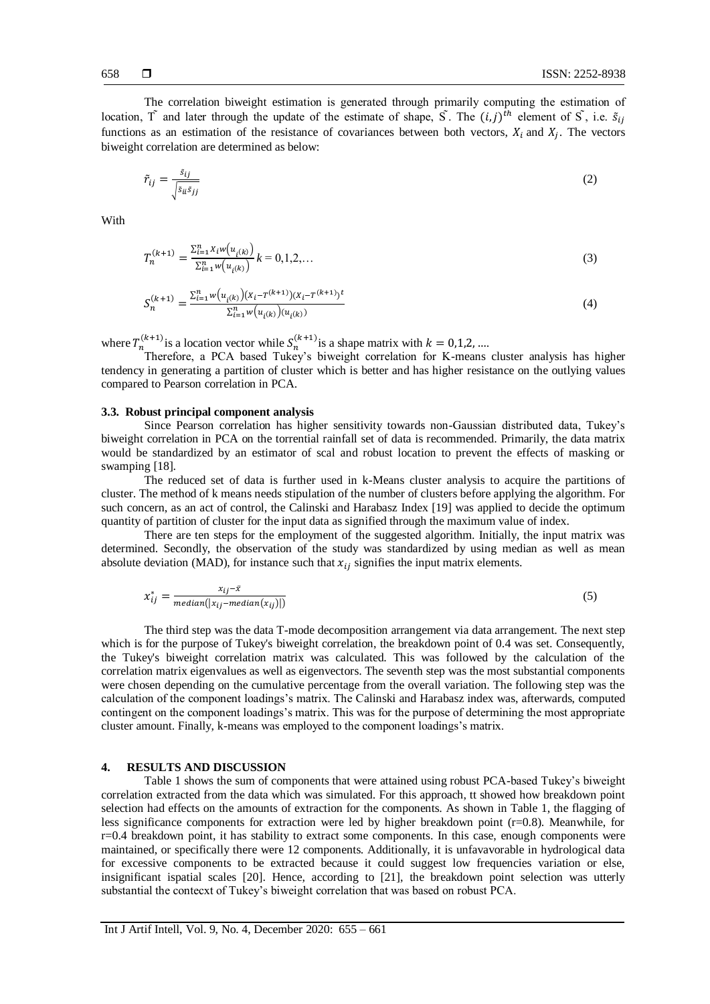The correlation biweight estimation is generated through primarily computing the estimation of location,  $\tilde{T}$  and later through the update of the estimate of shape,  $\tilde{S}$ . The  $(i, j)^{th}$  element of  $\tilde{S}$ , i.e.  $\tilde{s}_{ij}$ functions as an estimation of the resistance of covariances between both vectors,  $X_i$  and  $X_j$ . The vectors biweight correlation are determined as below:

$$
\tilde{r}_{ij} = \frac{s_{ij}}{\sqrt{s_{ii}s_{jj}}}
$$
\n(2)

**With** 

$$
T_n^{(k+1)} = \frac{\sum_{i=1}^n x_i w(u_{i(k)})}{\sum_{i=1}^n w(u_{i(k)})} k = 0, 1, 2, \dots
$$
\n(3)

$$
S_n^{(k+1)} = \frac{\sum_{i=1}^n w(u_{i(k)}) (x_i - T^{(k+1)})(x_i - T^{(k+1)})^t}{\sum_{i=1}^n w(u_{i(k)}) (u_{i(k)})}
$$
(4)

where  $T_n^{(k+1)}$  is a location vector while  $S_n^{(k+1)}$  is a shape matrix with  $k = 0,1,2,...$ 

Therefore, a PCA based Tukey's biweight correlation for K-means cluster analysis has higher tendency in generating a partition of cluster which is better and has higher resistance on the outlying values compared to Pearson correlation in PCA.

# **3.3. Robust principal component analysis**

Since Pearson correlation has higher sensitivity towards non-Gaussian distributed data, Tukey's biweight correlation in PCA on the torrential rainfall set of data is recommended. Primarily, the data matrix would be standardized by an estimator of scal and robust location to prevent the effects of masking or swamping [18].

The reduced set of data is further used in k-Means cluster analysis to acquire the partitions of cluster. The method of k means needs stipulation of the number of clusters before applying the algorithm. For such concern, as an act of control, the Calinski and Harabasz Index [19] was applied to decide the optimum quantity of partition of cluster for the input data as signified through the maximum value of index.

There are ten steps for the employment of the suggested algorithm. Initially, the input matrix was determined. Secondly, the observation of the study was standardized by using median as well as mean absolute deviation (MAD), for instance such that  $x_{ij}$  signifies the input matrix elements.

$$
x_{ij}^* = \frac{x_{ij} - \bar{x}}{median(|x_{ij} - median(x_{ij})|)}
$$
(5)

The third step was the data T-mode decomposition arrangement via data arrangement. The next step which is for the purpose of Tukey's biweight correlation, the breakdown point of 0.4 was set. Consequently, the Tukey's biweight correlation matrix was calculated. This was followed by the calculation of the correlation matrix eigenvalues as well as eigenvectors. The seventh step was the most substantial components were chosen depending on the cumulative percentage from the overall variation. The following step was the calculation of the component loadings's matrix. The Calinski and Harabasz index was, afterwards, computed contingent on the component loadings's matrix. This was for the purpose of determining the most appropriate cluster amount. Finally, k-means was employed to the component loadings's matrix.

# **4. RESULTS AND DISCUSSION**

Table 1 shows the sum of components that were attained using robust PCA-based Tukey's biweight correlation extracted from the data which was simulated. For this approach, tt showed how breakdown point selection had effects on the amounts of extraction for the components. As shown in Table 1, the flagging of less significance components for extraction were led by higher breakdown point (r=0.8). Meanwhile, for r=0.4 breakdown point, it has stability to extract some components. In this case, enough components were maintained, or specifically there were 12 components. Additionally, it is unfavavorable in hydrological data for excessive components to be extracted because it could suggest low frequencies variation or else, insignificant ispatial scales [20]. Hence, according to [21], the breakdown point selection was utterly substantial the contecxt of Tukey's biweight correlation that was based on robust PCA.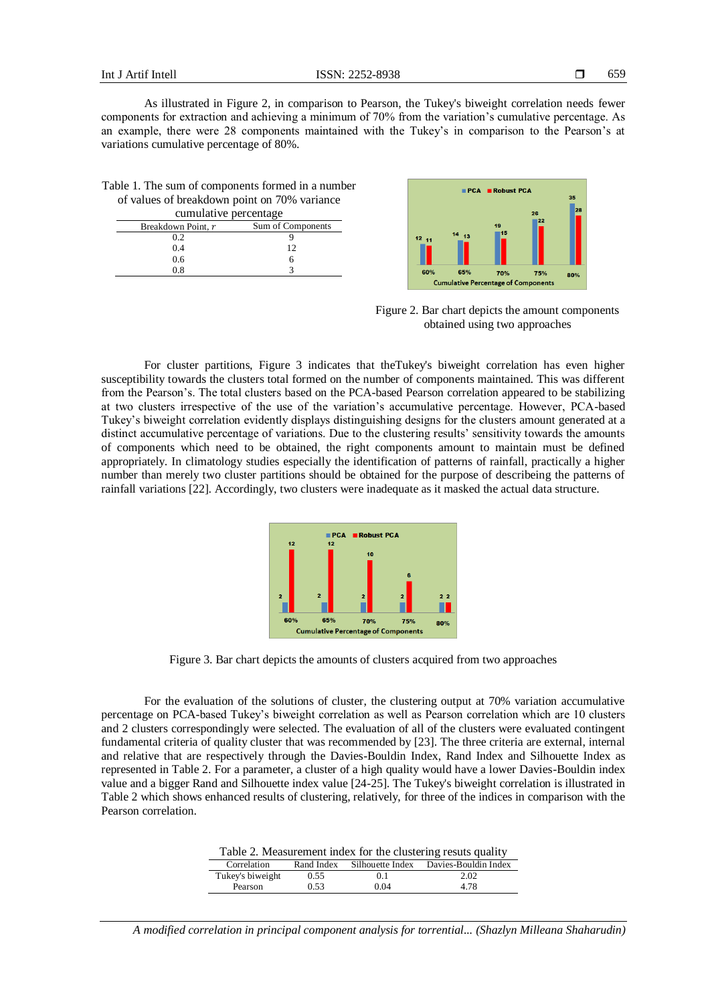As illustrated in Figure 2, in comparison to Pearson, the Tukey's biweight correlation needs fewer components for extraction and achieving a minimum of 70% from the variation's cumulative percentage. As an example, there were 28 components maintained with the Tukey's in comparison to the Pearson's at variations cumulative percentage of 80%.

| Table 1. The sum of components formed in a number                                                                                                                                                                                                                                                |                                                                                         |  |  |  |  |
|--------------------------------------------------------------------------------------------------------------------------------------------------------------------------------------------------------------------------------------------------------------------------------------------------|-----------------------------------------------------------------------------------------|--|--|--|--|
| of values of breakdown point on 70% variance                                                                                                                                                                                                                                                     |                                                                                         |  |  |  |  |
| cumulative percentage                                                                                                                                                                                                                                                                            |                                                                                         |  |  |  |  |
| $\mathbf{D}$ and $\mathbf{D}$ and $\mathbf{D}$ and $\mathbf{D}$ and $\mathbf{D}$ and $\mathbf{D}$ and $\mathbf{D}$ and $\mathbf{D}$ and $\mathbf{D}$ and $\mathbf{D}$ and $\mathbf{D}$ and $\mathbf{D}$ and $\mathbf{D}$ and $\mathbf{D}$ and $\mathbf{D}$ and $\mathbf{D}$ and $\mathbf{D}$ and | $\mathcal{C}_{\text{max}}$ of $\mathcal{C}_{\text{max}}$ and $\mathcal{C}_{\text{max}}$ |  |  |  |  |

| Breakdown Point, r | Sum of Components |
|--------------------|-------------------|
| 0.2                |                   |
| 0.4                | 12                |
| 0.6                | n                 |
| 0.8                |                   |



Figure 2. Bar chart depicts the amount components obtained using two approaches

For cluster partitions, Figure 3 indicates that theTukey's biweight correlation has even higher susceptibility towards the clusters total formed on the number of components maintained. This was different from the Pearson's. The total clusters based on the PCA-based Pearson correlation appeared to be stabilizing at two clusters irrespective of the use of the variation's accumulative percentage. However, PCA-based Tukey's biweight correlation evidently displays distinguishing designs for the clusters amount generated at a distinct accumulative percentage of variations. Due to the clustering results' sensitivity towards the amounts of components which need to be obtained, the right components amount to maintain must be defined appropriately. In climatology studies especially the identification of patterns of rainfall, practically a higher number than merely two cluster partitions should be obtained for the purpose of describeing the patterns of rainfall variations [22]. Accordingly, two clusters were inadequate as it masked the actual data structure.



Figure 3. Bar chart depicts the amounts of clusters acquired from two approaches

For the evaluation of the solutions of cluster, the clustering output at 70% variation accumulative percentage on PCA-based Tukey's biweight correlation as well as Pearson correlation which are 10 clusters and 2 clusters correspondingly were selected. The evaluation of all of the clusters were evaluated contingent fundamental criteria of quality cluster that was recommended by [23]. The three criteria are external, internal and relative that are respectively through the Davies-Bouldin Index, Rand Index and Silhouette Index as represented in Table 2. For a parameter, a cluster of a high quality would have a lower Davies-Bouldin index value and a bigger Rand and Silhouette index value [24-25]. The Tukey's biweight correlation is illustrated in Table 2 which shows enhanced results of clustering, relatively, for three of the indices in comparison with the Pearson correlation.

| Table 2. Measurement index for the clustering resuts quality |  |  |  |
|--------------------------------------------------------------|--|--|--|
|--------------------------------------------------------------|--|--|--|

| Correlation      | Rand Index | Silhouette Index | Davies-Bouldin Index |  |
|------------------|------------|------------------|----------------------|--|
| Tukey's biweight | 0.55       | 0.1              | 2.02                 |  |
| Pearson          | 0.53       | 0.04             | 4.78                 |  |

*A modified correlation in principal component analysis for torrential... (Shazlyn Milleana Shaharudin)*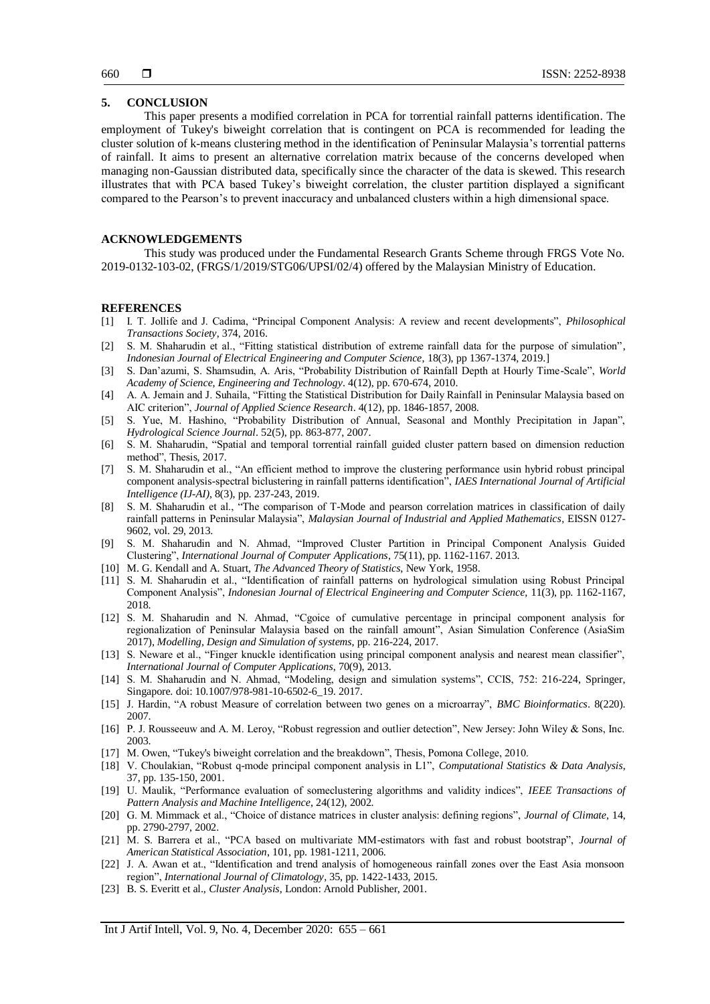## **5. CONCLUSION**

This paper presents a modified correlation in PCA for torrential rainfall patterns identification. The employment of Tukey's biweight correlation that is contingent on PCA is recommended for leading the cluster solution of k-means clustering method in the identification of Peninsular Malaysia's torrential patterns of rainfall. It aims to present an alternative correlation matrix because of the concerns developed when managing non-Gaussian distributed data, specifically since the character of the data is skewed. This research illustrates that with PCA based Tukey's biweight correlation, the cluster partition displayed a significant compared to the Pearson's to prevent inaccuracy and unbalanced clusters within a high dimensional space.

# **ACKNOWLEDGEMENTS**

This study was produced under the Fundamental Research Grants Scheme through FRGS Vote No. 2019-0132-103-02, (FRGS/1/2019/STG06/UPSI/02/4) offered by the Malaysian Ministry of Education.

## **REFERENCES**

- [1] I. T. Jollife and J. Cadima, "Principal Component Analysis: A review and recent developments", *Philosophical Transactions Society*, 374, 2016.
- [2] S. M. Shaharudin et al., "Fitting statistical distribution of extreme rainfall data for the purpose of simulation", *Indonesian Journal of Electrical Engineering and Computer Science*, 18(3), pp 1367-1374, 2019.]
- [3] S. Dan'azumi, S. Shamsudin, A. Aris, "Probability Distribution of Rainfall Depth at Hourly Time-Scale", *World Academy of Science, Engineering and Technology*. 4(12), pp. 670-674, 2010.
- [4] A. A. Jemain and J. Suhaila, "Fitting the Statistical Distribution for Daily Rainfall in Peninsular Malaysia based on AIC criterion", *Journal of Applied Science Research*. 4(12), pp. 1846-1857, 2008.
- [5] S. Yue, M. Hashino, "Probability Distribution of Annual, Seasonal and Monthly Precipitation in Japan", *Hydrological Science Journal*. 52(5), pp. 863-877, 2007.
- [6] S. M. Shaharudin, "Spatial and temporal torrential rainfall guided cluster pattern based on dimension reduction method", Thesis, 2017.
- [7] S. M. Shaharudin et al., "An efficient method to improve the clustering performance usin hybrid robust principal component analysis-spectral biclustering in rainfall patterns identification", *IAES International Journal of Artificial Intelligence (IJ-AI),* 8(3), pp. 237-243, 2019.
- [8] S. M. Shaharudin et al., "The comparison of T-Mode and pearson correlation matrices in classification of daily rainfall patterns in Peninsular Malaysia", *Malaysian Journal of Industrial and Applied Mathematics*, EISSN 0127- 9602, vol. 29, 2013.
- [9] S. M. Shaharudin and N. Ahmad, "Improved Cluster Partition in Principal Component Analysis Guided Clustering", *International Journal of Computer Applications*, 75(11), pp. 1162-1167. 2013.
- [10] M. G. Kendall and A. Stuart, *The Advanced Theory of Statistics*, New York, 1958.
- [11] S. M. Shaharudin et al., "Identification of rainfall patterns on hydrological simulation using Robust Principal Component Analysis", *Indonesian Journal of Electrical Engineering and Computer Science,* 11(3), pp. 1162-1167, 2018.
- [12] S. M. Shaharudin and N. Ahmad, "Cgoice of cumulative percentage in principal component analysis for regionalization of Peninsular Malaysia based on the rainfall amount", Asian Simulation Conference (AsiaSim 2017), *Modelling, Design and Simulation of systems,* pp. 216-224, 2017.
- [13] S. Neware et al., "Finger knuckle identification using principal component analysis and nearest mean classifier", *International Journal of Computer Applications*, 70(9), 2013.
- [14] S. M. Shaharudin and N. Ahmad, "Modeling, design and simulation systems", CCIS, 752: 216-224, Springer, Singapore. doi: 10.1007/978-981-10-6502-6\_19. 2017.
- [15] J. Hardin, "A robust Measure of correlation between two genes on a microarray", *BMC Bioinformatics*. 8(220). 2007.
- [16] P. J. Rousseeuw and A. M. Leroy, "Robust regression and outlier detection", New Jersey: John Wiley & Sons, Inc. 2003.
- [17] M. Owen, "Tukey's biweight correlation and the breakdown", Thesis, Pomona College, 2010.
- [18] V. Choulakian, "Robust q-mode principal component analysis in L1", *Computational Statistics & Data Analysis*, 37, pp. 135-150, 2001.
- [19] U. Maulik, "Performance evaluation of someclustering algorithms and validity indices", *IEEE Transactions of Pattern Analysis and Machine Intelligence*, 24(12), 2002.
- [20] G. M. Mimmack et al., "Choice of distance matrices in cluster analysis: defining regions", *Journal of Climate*, 14, pp. 2790-2797, 2002.
- [21] M. S. Barrera et al., "PCA based on multivariate MM-estimators with fast and robust bootstrap", *Journal of American Statistical Association*, 101, pp. 1981-1211, 2006.
- [22] J. A. Awan et at., "Identification and trend analysis of homogeneous rainfall zones over the East Asia monsoon region", *International Journal of Climatology*, 35, pp. 1422-1433, 2015.
- [23] B. S. Everitt et al., *Cluster Analysis*, London: Arnold Publisher, 2001.